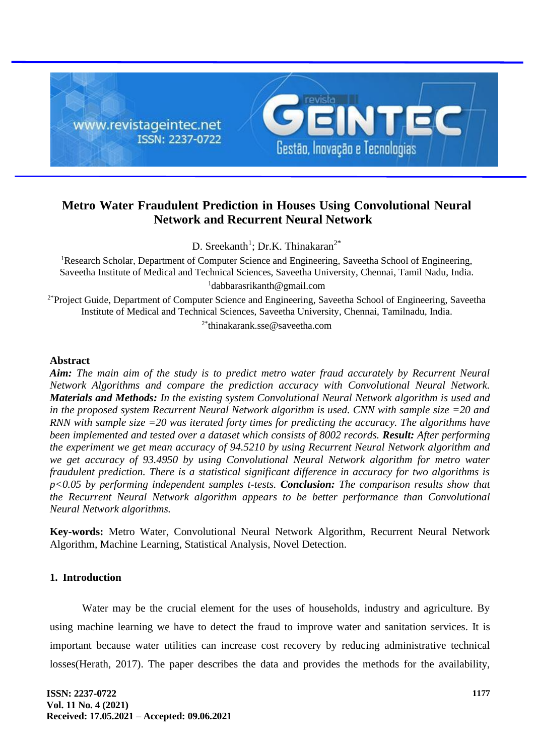

# **Metro Water Fraudulent Prediction in Houses Using Convolutional Neural Network and Recurrent Neural Network**

D. Sreekanth<sup>1</sup>; Dr.K. Thinakaran<sup>2\*</sup>

<sup>1</sup>Research Scholar, Department of Computer Science and Engineering, Saveetha School of Engineering, Saveetha Institute of Medical and Technical Sciences, Saveetha University, Chennai, Tamil Nadu, India. <sup>1</sup>dabbarasrikanth@gmail.com

<sup>2\*</sup>Project Guide, Department of Computer Science and Engineering, Saveetha School of Engineering, Saveetha Institute of Medical and Technical Sciences, Saveetha University, Chennai, Tamilnadu, India.

 $2*$ thinakarank.sse@saveetha.com

#### **Abstract**

*Aim: The main aim of the study is to predict metro water fraud accurately by Recurrent Neural Network Algorithms and compare the prediction accuracy with Convolutional Neural Network. Materials and Methods: In the existing system Convolutional Neural Network algorithm is used and in the proposed system Recurrent Neural Network algorithm is used. CNN with sample size =20 and RNN with sample size =20 was iterated forty times for predicting the accuracy. The algorithms have been implemented and tested over a dataset which consists of 8002 records. Result: After performing the experiment we get mean accuracy of 94.5210 by using Recurrent Neural Network algorithm and we get accuracy of 93.4950 by using Convolutional Neural Network algorithm for metro water fraudulent prediction. There is a statistical significant difference in accuracy for two algorithms is p<0.05 by performing independent samples t-tests. Conclusion: The comparison results show that the Recurrent Neural Network algorithm appears to be better performance than Convolutional Neural Network algorithms.*

**Key-words:** Metro Water, Convolutional Neural Network Algorithm, Recurrent Neural Network Algorithm, Machine Learning, Statistical Analysis, Novel Detection.

### **1. Introduction**

Water may be the crucial element for the uses of households, industry and agriculture. By using machine learning we have to detect the fraud to improve water and sanitation services. It is important because water utilities can increase cost recovery by reducing administrative technical losses(Herath, 2017). The paper describes the data and provides the methods for the availability,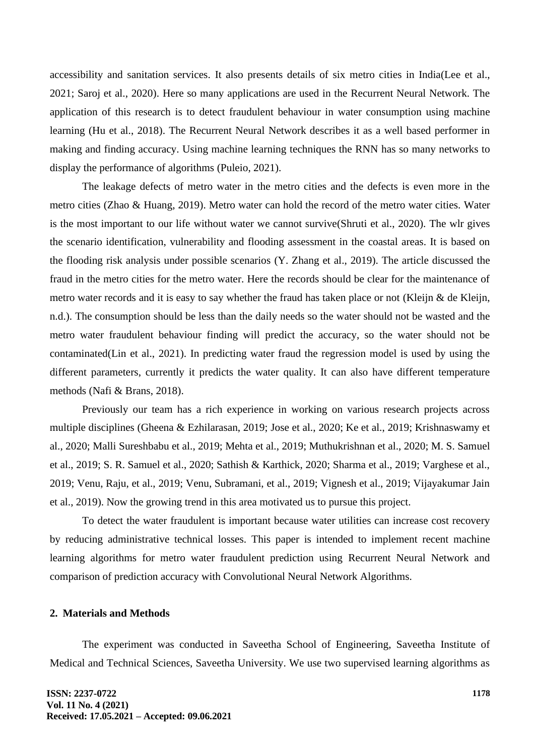accessibility and sanitation services. It also presents details of six metro cities in India(Lee et al., 2021; Saroj et al., 2020). Here so many applications are used in the Recurrent Neural Network. The application of this research is to detect fraudulent behaviour in water consumption using machine learning (Hu et al., 2018). The Recurrent Neural Network describes it as a well based performer in making and finding accuracy. Using machine learning techniques the RNN has so many networks to display the performance of algorithms (Puleio, 2021).

The leakage defects of metro water in the metro cities and the defects is even more in the metro cities (Zhao & Huang, 2019). Metro water can hold the record of the metro water cities. Water is the most important to our life without water we cannot survive(Shruti et al., 2020). The wlr gives the scenario identification, vulnerability and flooding assessment in the coastal areas. It is based on the flooding risk analysis under possible scenarios (Y. Zhang et al., 2019). The article discussed the fraud in the metro cities for the metro water. Here the records should be clear for the maintenance of metro water records and it is easy to say whether the fraud has taken place or not (Kleijn & de Kleijn, n.d.). The consumption should be less than the daily needs so the water should not be wasted and the metro water fraudulent behaviour finding will predict the accuracy, so the water should not be contaminated(Lin et al., 2021). In predicting water fraud the regression model is used by using the different parameters, currently it predicts the water quality. It can also have different temperature methods (Nafi & Brans, 2018).

Previously our team has a rich experience in working on various research projects across multiple disciplines (Gheena & Ezhilarasan, 2019; Jose et al., 2020; Ke et al., 2019; Krishnaswamy et al., 2020; Malli Sureshbabu et al., 2019; Mehta et al., 2019; Muthukrishnan et al., 2020; M. S. Samuel et al., 2019; S. R. Samuel et al., 2020; Sathish & Karthick, 2020; Sharma et al., 2019; Varghese et al., 2019; Venu, Raju, et al., 2019; Venu, Subramani, et al., 2019; Vignesh et al., 2019; Vijayakumar Jain et al., 2019). Now the growing trend in this area motivated us to pursue this project.

To detect the water fraudulent is important because water utilities can increase cost recovery by reducing administrative technical losses. This paper is intended to implement recent machine learning algorithms for metro water fraudulent prediction using Recurrent Neural Network and comparison of prediction accuracy with Convolutional Neural Network Algorithms.

### **2. Materials and Methods**

The experiment was conducted in Saveetha School of Engineering, Saveetha Institute of Medical and Technical Sciences, Saveetha University. We use two supervised learning algorithms as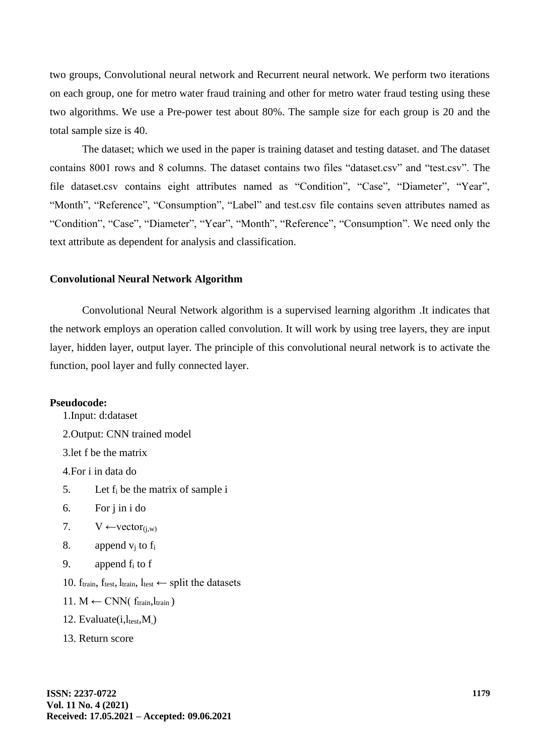two groups, Convolutional neural network and Recurrent neural network. We perform two iterations on each group, one for metro water fraud training and other for metro water fraud testing using these two algorithms. We use a Pre-power test about 80%. The sample size for each group is 20 and the total sample size is 40.

The dataset; which we used in the paper is training dataset and testing dataset. and The dataset contains 8001 rows and 8 columns. The dataset contains two files "dataset.csv" and "test.csv". The file dataset.csv contains eight attributes named as "Condition", "Case", "Diameter", "Year", "Month", "Reference", "Consumption", "Label" and test.csv file contains seven attributes named as "Condition", "Case", "Diameter", "Year", "Month", "Reference", "Consumption". We need only the text attribute as dependent for analysis and classification.

#### **Convolutional Neural Network Algorithm**

Convolutional Neural Network algorithm is a supervised learning algorithm .It indicates that the network employs an operation called convolution. It will work by using tree layers, they are input layer, hidden layer, output layer. The principle of this convolutional neural network is to activate the function, pool layer and fully connected layer.

#### **Pseudocode:**

1.Input: d:dataset 2.Output: CNN trained model 3.let f be the matrix 4.For i in data do 5. Let f<sup>i</sup> be the matrix of sample i 6. For j in i do 7.  $V \leftarrow vector_{(i,w)}$ 8. append  $v_i$  to  $f_i$ 9. append  $f_i$  to f 10.  $f_{train}$ ,  $f_{test}$ ,  $l_{train}$ ,  $l_{test} \leftarrow$  split the datasets 11.  $M \leftarrow \text{CNN}(f_{\text{train}}, l_{\text{train}})$ 12. Evaluate $(i, l_{test}, M)$ 13. Return score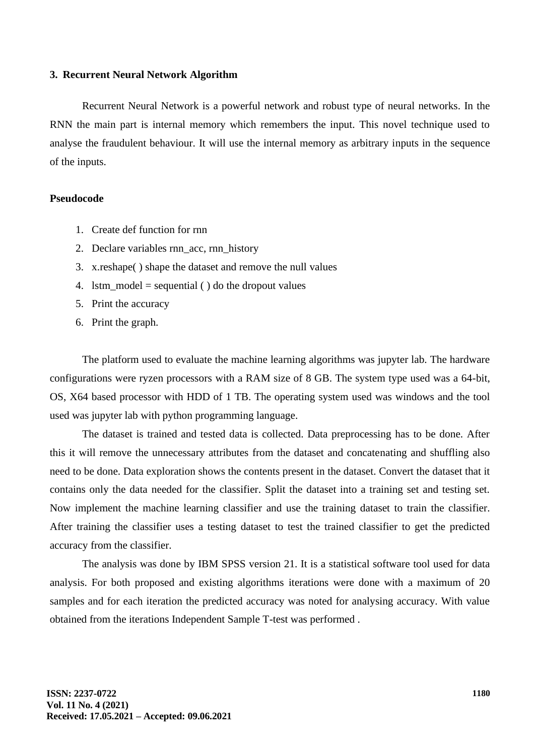#### **3. Recurrent Neural Network Algorithm**

Recurrent Neural Network is a powerful network and robust type of neural networks. In the RNN the main part is internal memory which remembers the input. This novel technique used to analyse the fraudulent behaviour. It will use the internal memory as arbitrary inputs in the sequence of the inputs.

#### **Pseudocode**

- 1. Create def function for rnn
- 2. Declare variables rnn\_acc, rnn\_history
- 3. x.reshape( ) shape the dataset and remove the null values
- 4. lstm\_model = sequential  $()$  do the dropout values
- 5. Print the accuracy
- 6. Print the graph.

The platform used to evaluate the machine learning algorithms was jupyter lab. The hardware configurations were ryzen processors with a RAM size of 8 GB. The system type used was a 64-bit, OS, X64 based processor with HDD of 1 TB. The operating system used was windows and the tool used was jupyter lab with python programming language.

The dataset is trained and tested data is collected. Data preprocessing has to be done. After this it will remove the unnecessary attributes from the dataset and concatenating and shuffling also need to be done. Data exploration shows the contents present in the dataset. Convert the dataset that it contains only the data needed for the classifier. Split the dataset into a training set and testing set. Now implement the machine learning classifier and use the training dataset to train the classifier. After training the classifier uses a testing dataset to test the trained classifier to get the predicted accuracy from the classifier.

The analysis was done by IBM SPSS version 21. It is a statistical software tool used for data analysis. For both proposed and existing algorithms iterations were done with a maximum of 20 samples and for each iteration the predicted accuracy was noted for analysing accuracy. With value obtained from the iterations Independent Sample T-test was performed .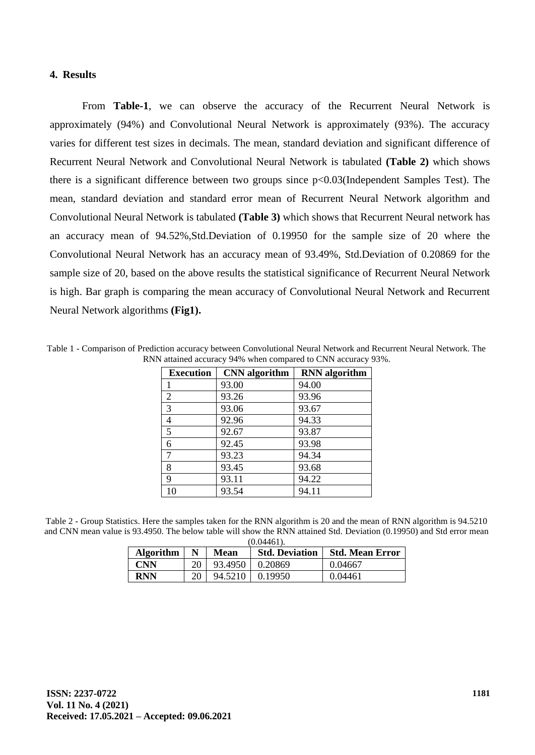### **4. Results**

From **Table-1**, we can observe the accuracy of the Recurrent Neural Network is approximately (94%) and Convolutional Neural Network is approximately (93%). The accuracy varies for different test sizes in decimals. The mean, standard deviation and significant difference of Recurrent Neural Network and Convolutional Neural Network is tabulated **(Table 2)** which shows there is a significant difference between two groups since p<0.03(Independent Samples Test). The mean, standard deviation and standard error mean of Recurrent Neural Network algorithm and Convolutional Neural Network is tabulated **(Table 3)** which shows that Recurrent Neural network has an accuracy mean of 94.52%,Std.Deviation of 0.19950 for the sample size of 20 where the Convolutional Neural Network has an accuracy mean of 93.49%, Std.Deviation of 0.20869 for the sample size of 20, based on the above results the statistical significance of Recurrent Neural Network is high. Bar graph is comparing the mean accuracy of Convolutional Neural Network and Recurrent Neural Network algorithms **(Fig1).**

Table 1 - Comparison of Prediction accuracy between Convolutional Neural Network and Recurrent Neural Network. The RNN attained accuracy 94% when compared to CNN accuracy 93%.

| <b>Execution</b> | <b>CNN</b> algorithm | <b>RNN</b> algorithm |
|------------------|----------------------|----------------------|
|                  | 93.00                | 94.00                |
| 2                | 93.26                | 93.96                |
| 3                | 93.06                | 93.67                |
| 4                | 92.96                | 94.33                |
| 5                | 92.67                | 93.87                |
| 6                | 92.45                | 93.98                |
| 7                | 93.23                | 94.34                |
| 8                | 93.45                | 93.68                |
| 9                | 93.11                | 94.22                |
| 10               | 93.54                | 94.11                |

Table 2 - Group Statistics. Here the samples taken for the RNN algorithm is 20 and the mean of RNN algorithm is 94.5210 and CNN mean value is 93.4950. The below table will show the RNN attained Std. Deviation (0.19950) and Std error mean  $(0.04461)$ 

| <b>Algorithm</b> | N  | Mean    | <b>Std. Deviation</b> | <b>Std. Mean Error</b> |
|------------------|----|---------|-----------------------|------------------------|
| <b>CNN</b>       | 20 | 93.4950 | 0.20869               | 0.04667                |
| RNN              |    | 94.5210 | 0.19950               | 0.04461                |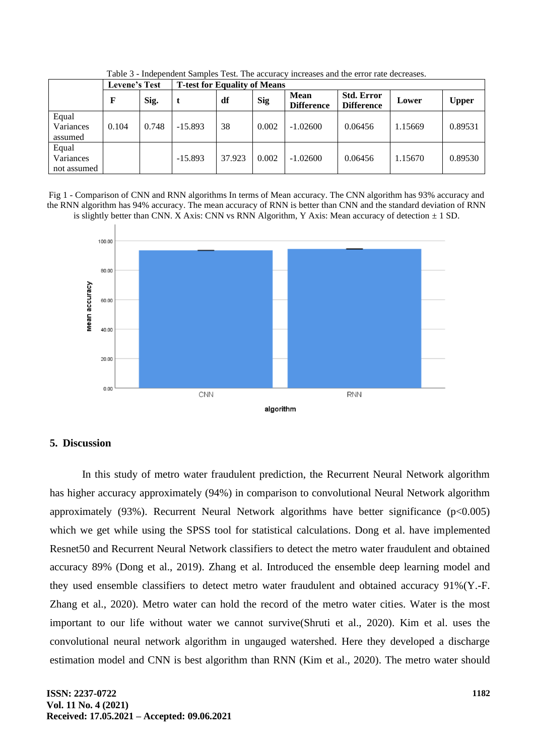|                                   | <b>Levene's Test</b> |       | <b>T-test for Equality of Means</b> |        |            |                                  |                                        |         |              |
|-----------------------------------|----------------------|-------|-------------------------------------|--------|------------|----------------------------------|----------------------------------------|---------|--------------|
|                                   | F                    | Sig.  |                                     | df     | <b>Sig</b> | <b>Mean</b><br><b>Difference</b> | <b>Std. Error</b><br><b>Difference</b> | Lower   | <b>Upper</b> |
| Equal<br>Variances<br>assumed     | 0.104                | 0.748 | $-15.893$                           | 38     | 0.002      | $-1.02600$                       | 0.06456                                | 1.15669 | 0.89531      |
| Equal<br>Variances<br>not assumed |                      |       | $-15.893$                           | 37.923 | 0.002      | $-1.02600$                       | 0.06456                                | 1.15670 | 0.89530      |

Table 3 - Independent Samples Test. The accuracy increases and the error rate decreases.

Fig 1 - Comparison of CNN and RNN algorithms In terms of Mean accuracy. The CNN algorithm has 93% accuracy and the RNN algorithm has 94% accuracy. The mean accuracy of RNN is better than CNN and the standard deviation of RNN is slightly better than CNN. X Axis: CNN vs RNN Algorithm, Y Axis: Mean accuracy of detection  $\pm$  1 SD.



### **5. Discussion**

In this study of metro water fraudulent prediction, the Recurrent Neural Network algorithm has higher accuracy approximately (94%) in comparison to convolutional Neural Network algorithm approximately  $(93\%)$ . Recurrent Neural Network algorithms have better significance  $(p<0.005)$ which we get while using the SPSS tool for statistical calculations. Dong et al. have implemented Resnet50 and Recurrent Neural Network classifiers to detect the metro water fraudulent and obtained accuracy 89% (Dong et al., 2019). Zhang et al. Introduced the ensemble deep learning model and they used ensemble classifiers to detect metro water fraudulent and obtained accuracy 91%(Y.-F. Zhang et al., 2020). Metro water can hold the record of the metro water cities. Water is the most important to our life without water we cannot survive(Shruti et al., 2020). Kim et al. uses the convolutional neural network algorithm in ungauged watershed. Here they developed a discharge estimation model and CNN is best algorithm than RNN (Kim et al., 2020). The metro water should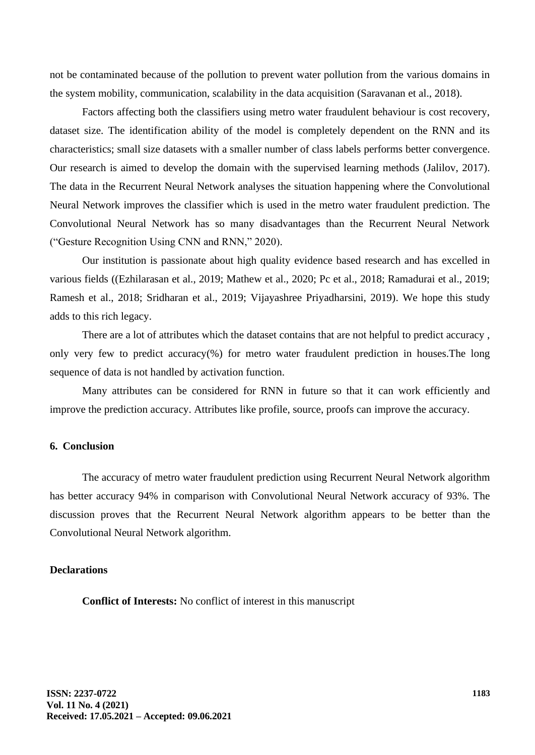not be contaminated because of the pollution to prevent water pollution from the various domains in the system mobility, communication, scalability in the data acquisition (Saravanan et al., 2018).

Factors affecting both the classifiers using metro water fraudulent behaviour is cost recovery, dataset size. The identification ability of the model is completely dependent on the RNN and its characteristics; small size datasets with a smaller number of class labels performs better convergence. Our research is aimed to develop the domain with the supervised learning methods (Jalilov, 2017). The data in the Recurrent Neural Network analyses the situation happening where the Convolutional Neural Network improves the classifier which is used in the metro water fraudulent prediction. The Convolutional Neural Network has so many disadvantages than the Recurrent Neural Network ("Gesture Recognition Using CNN and RNN," 2020).

Our institution is passionate about high quality evidence based research and has excelled in various fields ((Ezhilarasan et al., 2019; Mathew et al., 2020; Pc et al., 2018; Ramadurai et al., 2019; Ramesh et al., 2018; Sridharan et al., 2019; Vijayashree Priyadharsini, 2019). We hope this study adds to this rich legacy.

There are a lot of attributes which the dataset contains that are not helpful to predict accuracy , only very few to predict accuracy(%) for metro water fraudulent prediction in houses.The long sequence of data is not handled by activation function.

Many attributes can be considered for RNN in future so that it can work efficiently and improve the prediction accuracy. Attributes like profile, source, proofs can improve the accuracy.

### **6. Conclusion**

The accuracy of metro water fraudulent prediction using Recurrent Neural Network algorithm has better accuracy 94% in comparison with Convolutional Neural Network accuracy of 93%. The discussion proves that the Recurrent Neural Network algorithm appears to be better than the Convolutional Neural Network algorithm.

### **Declarations**

**Conflict of Interests:** No conflict of interest in this manuscript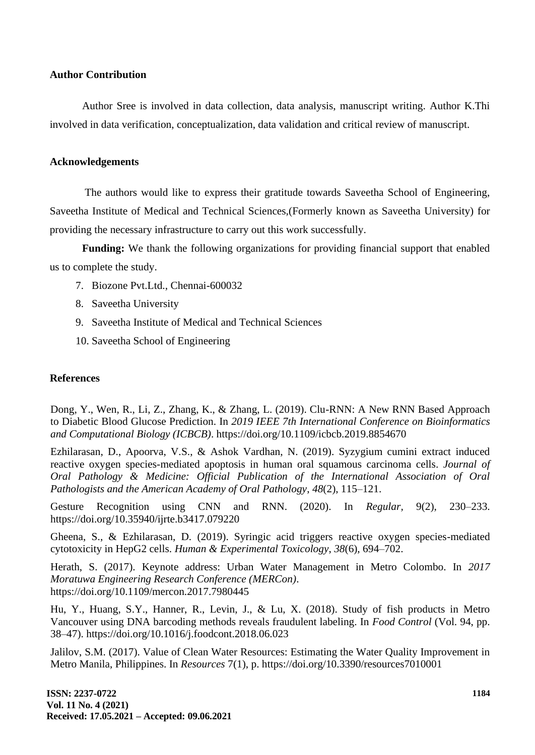#### **Author Contribution**

Author Sree is involved in data collection, data analysis, manuscript writing. Author K.Thi involved in data verification, conceptualization, data validation and critical review of manuscript.

#### **Acknowledgements**

The authors would like to express their gratitude towards Saveetha School of Engineering, Saveetha Institute of Medical and Technical Sciences,(Formerly known as Saveetha University) for providing the necessary infrastructure to carry out this work successfully.

**Funding:** We thank the following organizations for providing financial support that enabled us to complete the study.

- 7. Biozone Pvt.Ltd., Chennai-600032
- 8. Saveetha University
- 9. Saveetha Institute of Medical and Technical Sciences
- 10. Saveetha School of Engineering

## **References**

Dong, Y., Wen, R., Li, Z., Zhang, K., & Zhang, L. (2019). Clu-RNN: A New RNN Based Approach to Diabetic Blood Glucose Prediction. In *2019 IEEE 7th International Conference on Bioinformatics and Computational Biology (ICBCB)*. https://doi.org/10.1109/icbcb.2019.8854670

Ezhilarasan, D., Apoorva, V.S., & Ashok Vardhan, N. (2019). Syzygium cumini extract induced reactive oxygen species-mediated apoptosis in human oral squamous carcinoma cells. *Journal of Oral Pathology & Medicine: Official Publication of the International Association of Oral Pathologists and the American Academy of Oral Pathology*, *48*(2), 115–121.

Gesture Recognition using CNN and RNN. (2020). In *Regular,* 9(2), 230–233. https://doi.org/10.35940/ijrte.b3417.079220

Gheena, S., & Ezhilarasan, D. (2019). Syringic acid triggers reactive oxygen species-mediated cytotoxicity in HepG2 cells. *Human & Experimental Toxicology*, *38*(6), 694–702.

Herath, S. (2017). Keynote address: Urban Water Management in Metro Colombo. In *2017 Moratuwa Engineering Research Conference (MERCon)*. https://doi.org/10.1109/mercon.2017.7980445

Hu, Y., Huang, S.Y., Hanner, R., Levin, J., & Lu, X. (2018). Study of fish products in Metro Vancouver using DNA barcoding methods reveals fraudulent labeling. In *Food Control* (Vol. 94, pp. 38–47). https://doi.org/10.1016/j.foodcont.2018.06.023

Jalilov, S.M. (2017). Value of Clean Water Resources: Estimating the Water Quality Improvement in Metro Manila, Philippines. In *Resources* 7(1), p. https://doi.org/10.3390/resources7010001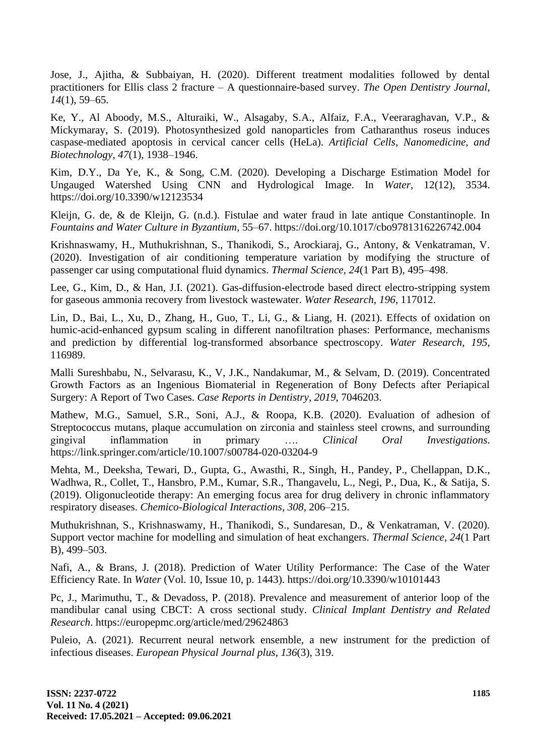Jose, J., Ajitha, & Subbaiyan, H. (2020). Different treatment modalities followed by dental practitioners for Ellis class 2 fracture – A questionnaire-based survey. *The Open Dentistry Journal*, *14*(1), 59–65.

Ke, Y., Al Aboody, M.S., Alturaiki, W., Alsagaby, S.A., Alfaiz, F.A., Veeraraghavan, V.P., & Mickymaray, S. (2019). Photosynthesized gold nanoparticles from Catharanthus roseus induces caspase-mediated apoptosis in cervical cancer cells (HeLa). *Artificial Cells, Nanomedicine, and Biotechnology, 47*(1), 1938–1946.

Kim, D.Y., Da Ye, K., & Song, C.M. (2020). Developing a Discharge Estimation Model for Ungauged Watershed Using CNN and Hydrological Image. In *Water,* 12(12), 3534. https://doi.org/10.3390/w12123534

Kleijn, G. de, & de Kleijn, G. (n.d.). Fistulae and water fraud in late antique Constantinople. In *Fountains and Water Culture in Byzantium,* 55–67. https://doi.org/10.1017/cbo9781316226742.004

Krishnaswamy, H., Muthukrishnan, S., Thanikodi, S., Arockiaraj, G., Antony, & Venkatraman, V. (2020). Investigation of air conditioning temperature variation by modifying the structure of passenger car using computational fluid dynamics. *Thermal Science*, *24*(1 Part B), 495–498.

Lee, G., Kim, D., & Han, J.I. (2021). Gas-diffusion-electrode based direct electro-stripping system for gaseous ammonia recovery from livestock wastewater. *Water Research*, *196*, 117012.

Lin, D., Bai, L., Xu, D., Zhang, H., Guo, T., Li, G., & Liang, H. (2021). Effects of oxidation on humic-acid-enhanced gypsum scaling in different nanofiltration phases: Performance, mechanisms and prediction by differential log-transformed absorbance spectroscopy. *Water Research*, *195*, 116989.

Malli Sureshbabu, N., Selvarasu, K., V, J.K., Nandakumar, M., & Selvam, D. (2019). Concentrated Growth Factors as an Ingenious Biomaterial in Regeneration of Bony Defects after Periapical Surgery: A Report of Two Cases. *Case Reports in Dentistry*, *2019*, 7046203.

Mathew, M.G., Samuel, S.R., Soni, A.J., & Roopa, K.B. (2020). Evaluation of adhesion of Streptococcus mutans, plaque accumulation on zirconia and stainless steel crowns, and surrounding gingival inflammation in primary …. *Clinical Oral Investigations*. https://link.springer.com/article/10.1007/s00784-020-03204-9

Mehta, M., Deeksha, Tewari, D., Gupta, G., Awasthi, R., Singh, H., Pandey, P., Chellappan, D.K., Wadhwa, R., Collet, T., Hansbro, P.M., Kumar, S.R., Thangavelu, L., Negi, P., Dua, K., & Satija, S. (2019). Oligonucleotide therapy: An emerging focus area for drug delivery in chronic inflammatory respiratory diseases. *Chemico-Biological Interactions*, *308*, 206–215.

Muthukrishnan, S., Krishnaswamy, H., Thanikodi, S., Sundaresan, D., & Venkatraman, V. (2020). Support vector machine for modelling and simulation of heat exchangers. *Thermal Science*, *24*(1 Part B), 499–503.

Nafi, A., & Brans, J. (2018). Prediction of Water Utility Performance: The Case of the Water Efficiency Rate. In *Water* (Vol. 10, Issue 10, p. 1443). https://doi.org/10.3390/w10101443

Pc, J., Marimuthu, T., & Devadoss, P. (2018). Prevalence and measurement of anterior loop of the mandibular canal using CBCT: A cross sectional study. *Clinical Implant Dentistry and Related Research*. https://europepmc.org/article/med/29624863

Puleio, A. (2021). Recurrent neural network ensemble, a new instrument for the prediction of infectious diseases. *European Physical Journal plus*, *136*(3), 319.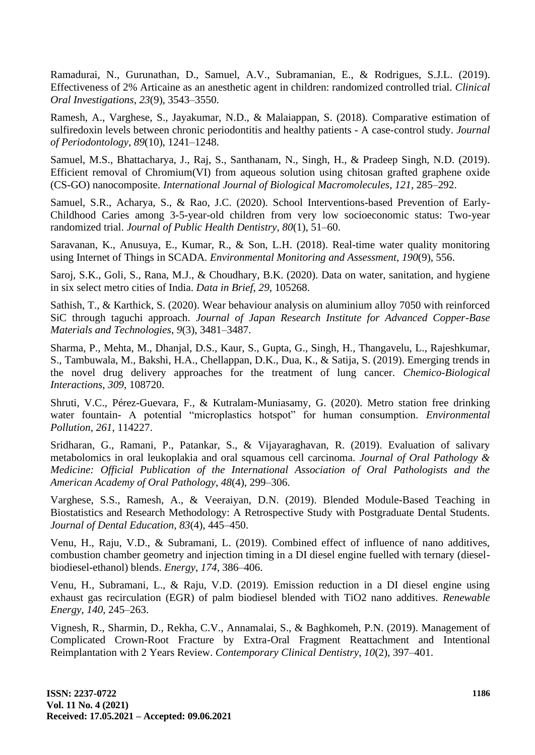Ramadurai, N., Gurunathan, D., Samuel, A.V., Subramanian, E., & Rodrigues, S.J.L. (2019). Effectiveness of 2% Articaine as an anesthetic agent in children: randomized controlled trial. *Clinical Oral Investigations*, *23*(9), 3543–3550.

Ramesh, A., Varghese, S., Jayakumar, N.D., & Malaiappan, S. (2018). Comparative estimation of sulfiredoxin levels between chronic periodontitis and healthy patients - A case-control study. *Journal of Periodontology*, *89*(10), 1241–1248.

Samuel, M.S., Bhattacharya, J., Raj, S., Santhanam, N., Singh, H., & Pradeep Singh, N.D. (2019). Efficient removal of Chromium(VI) from aqueous solution using chitosan grafted graphene oxide (CS-GO) nanocomposite. *International Journal of Biological Macromolecules*, *121*, 285–292.

Samuel, S.R., Acharya, S., & Rao, J.C. (2020). School Interventions-based Prevention of Early-Childhood Caries among 3-5-year-old children from very low socioeconomic status: Two-year randomized trial. *Journal of Public Health Dentistry*, *80*(1), 51–60.

Saravanan, K., Anusuya, E., Kumar, R., & Son, L.H. (2018). Real-time water quality monitoring using Internet of Things in SCADA. *Environmental Monitoring and Assessment*, *190*(9), 556.

Saroj, S.K., Goli, S., Rana, M.J., & Choudhary, B.K. (2020). Data on water, sanitation, and hygiene in six select metro cities of India. *Data in Brief*, *29*, 105268.

Sathish, T., & Karthick, S. (2020). Wear behaviour analysis on aluminium alloy 7050 with reinforced SiC through taguchi approach. *Journal of Japan Research Institute for Advanced Copper-Base Materials and Technologies*, *9*(3), 3481–3487.

Sharma, P., Mehta, M., Dhanjal, D.S., Kaur, S., Gupta, G., Singh, H., Thangavelu, L., Rajeshkumar, S., Tambuwala, M., Bakshi, H.A., Chellappan, D.K., Dua, K., & Satija, S. (2019). Emerging trends in the novel drug delivery approaches for the treatment of lung cancer. *Chemico-Biological Interactions*, *309*, 108720.

Shruti, V.C., Pérez-Guevara, F., & Kutralam-Muniasamy, G. (2020). Metro station free drinking water fountain- A potential "microplastics hotspot" for human consumption. *Environmental Pollution*, *261*, 114227.

Sridharan, G., Ramani, P., Patankar, S., & Vijayaraghavan, R. (2019). Evaluation of salivary metabolomics in oral leukoplakia and oral squamous cell carcinoma. *Journal of Oral Pathology & Medicine: Official Publication of the International Association of Oral Pathologists and the American Academy of Oral Pathology*, *48*(4), 299–306.

Varghese, S.S., Ramesh, A., & Veeraiyan, D.N. (2019). Blended Module-Based Teaching in Biostatistics and Research Methodology: A Retrospective Study with Postgraduate Dental Students. *Journal of Dental Education*, *83*(4), 445–450.

Venu, H., Raju, V.D., & Subramani, L. (2019). Combined effect of influence of nano additives, combustion chamber geometry and injection timing in a DI diesel engine fuelled with ternary (dieselbiodiesel-ethanol) blends. *Energy*, *174*, 386–406.

Venu, H., Subramani, L., & Raju, V.D. (2019). Emission reduction in a DI diesel engine using exhaust gas recirculation (EGR) of palm biodiesel blended with TiO2 nano additives. *Renewable Energy*, *140*, 245–263.

Vignesh, R., Sharmin, D., Rekha, C.V., Annamalai, S., & Baghkomeh, P.N. (2019). Management of Complicated Crown-Root Fracture by Extra-Oral Fragment Reattachment and Intentional Reimplantation with 2 Years Review. *Contemporary Clinical Dentistry*, *10*(2), 397–401.